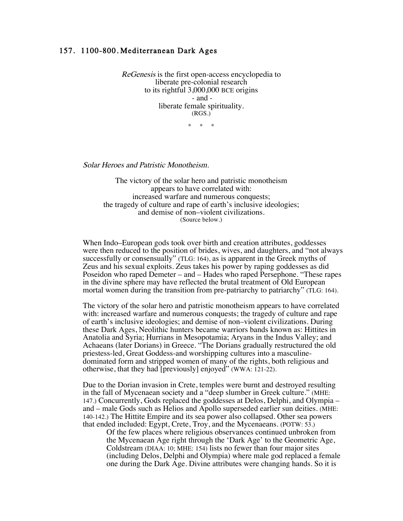## 157. 1100-800, Mediterranean Dark Ages

ReGenesis is the first open-access encyclopedia to liberate pre-colonial research to its rightful 3,000,000 BCE origins - and liberate female spirituality. (RGS.)

 $*$  \*

## Solar Heroes and Patristic Monotheism.

The victory of the solar hero and patristic monotheism appears to have correlated with: increased warfare and numerous conquests; the tragedy of culture and rape of earth's inclusive ideologies; and demise of non–violent civilizations. (Source below.)

When Indo–European gods took over birth and creation attributes, goddesses were then reduced to the position of brides, wives, and daughters, and "not always successfully or consensually" (TLG: 164), as is apparent in the Greek myths of Zeus and his sexual exploits. Zeus takes his power by raping goddesses as did Poseidon who raped Demeter – and – Hades who raped Persephone. "These rapes in the divine sphere may have reflected the brutal treatment of Old European mortal women during the transition from pre-patriarchy to patriarchy" (TLG: 164).

The victory of the solar hero and patristic monotheism appears to have correlated with: increased warfare and numerous conquests; the tragedy of culture and rape of earth's inclusive ideologies; and demise of non–violent civilizations. During these Dark Ages, Neolithic hunters became warriors bands known as: Hittites in Anatolia and Syria; Hurrians in Mesopotamia; Aryans in the Indus Valley; and Achaeans (later Dorians) in Greece. "The Dorians gradually restructured the old priestess-led, Great Goddess-and worshipping cultures into a masculinedominated form and stripped women of many of the rights, both religious and otherwise, that they had [previously] enjoyed" (WWA: 121-22).

Due to the Dorian invasion in Crete, temples were burnt and destroyed resulting in the fall of Mycenaean society and a "deep slumber in Greek culture." (MHE: 147.) Concurrently, Gods replaced the goddesses at Delos, Delphi, and Olympia – and – male Gods such as Helios and Apollo superseded earlier sun deities. (MHE: 140-142.) The Hittite Empire and its sea power also collapsed. Other sea powers that ended included: Egypt, Crete, Troy, and the Mycenaeans. (POTW: 53.)

Of the few places where religious observances continued unbroken from the Mycenaean Age right through the 'Dark Age' to the Geometric Age, Coldstream (DIAA: 10; MHE: 154) lists no fewer than four major sites (including Delos, Delphi and Olympia) where male god replaced a female one during the Dark Age. Divine attributes were changing hands. So it is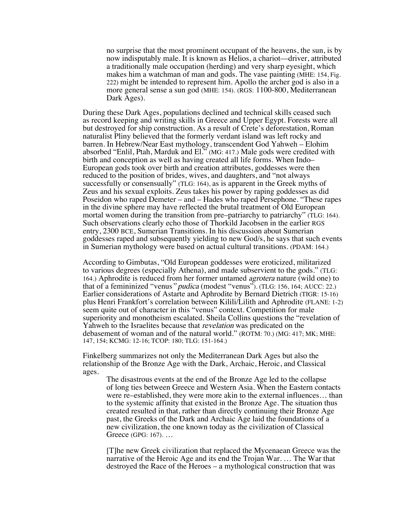no surprise that the most prominent occupant of the heavens, the sun, is by now indisputably male. It is known as Helios, a chariot—driver, attributed a traditionally male occupation (herding) and very sharp eyesight, which makes him a watchman of man and gods. The vase painting (MHE: 154, Fig. 222) might be intended to represent him. Apollo the archer god is also in a more general sense a sun god (MHE: 154). (RGS: 1100-800, Mediterranean Dark Ages).

During these Dark Ages, populations declined and technical skills ceased such as record keeping and writing skills in Greece and Upper Egypt. Forests were all but destroyed for ship construction. As a result of Crete's deforestation, Roman naturalist Pliny believed that the formerly verdant island was left rocky and barren. In Hebrew/Near East mythology, transcendent God Yahweh – Elohim absorbed "Enlil, Ptah, Marduk and El." (MG: 417.) Male gods were credited with birth and conception as well as having created all life forms. When Indo– European gods took over birth and creation attributes, goddesses were then reduced to the position of brides, wives, and daughters, and "not always successfully or consensually" (TLG: 164), as is apparent in the Greek myths of Zeus and his sexual exploits. Zeus takes his power by raping goddesses as did Poseidon who raped Demeter – and – Hades who raped Persephone. "These rapes in the divine sphere may have reflected the brutal treatment of Old European mortal women during the transition from pre–patriarchy to patriarchy" (TLG: 164). Such observations clearly echo those of Thorkild Jacobsen in the earlier RGS entry, 2300 BCE, Sumerian Transitions. In his discussion about Sumerian goddesses raped and subsequently yielding to new God/s, he says that such events in Sumerian mythology were based on actual cultural transitions. (PDAM: 164.)

According to Gimbutas, "Old European goddesses were eroticized, militarized to various degrees (especially Athena), and made subservient to the gods." (TLG: 164.) Aphrodite is reduced from her former untamed agrotera nature (wild one) to that of a femininized "venus" *pudica* (modest "venus"). (TLG: 156, 164; AUCC: 22.) Earlier considerations of Astarte and Aphrodite by Bernard Dietrich (TIGR: 15-16) plus Henri Frankfort's correlation between Kilili/Lilith and Aphrodite (FLANE: 1-2) seem quite out of character in this "venus" context. Competition for male superiority and monotheism escalated. Sheila Collins questions the "revelation of Yahweh to the Israelites because that revelation was predicated on the debasement of woman and of the natural world." (ROTM: 70.) (MG: 417; MK; MHE: 147, 154; KCMG: 12-16; TCOP: 180; TLG: 151-164.)

Finkelberg summarizes not only the Mediterranean Dark Ages but also the relationship of the Bronze Age with the Dark, Archaic, Heroic, and Classical ages.

The disastrous events at the end of the Bronze Age led to the collapse of long ties between Greece and Western Asia. When the Eastern contacts were re–established, they were more akin to the external influences… than to the systemic affinity that existed in the Bronze Age. The situation thus created resulted in that, rather than directly continuing their Bronze Age past, the Greeks of the Dark and Archaic Age laid the foundations of a new civilization, the one known today as the civilization of Classical Greece (GPG: 167). …

[T]he new Greek civilization that replaced the Mycenaean Greece was the narrative of the Heroic Age and its end the Trojan War. … The War that destroyed the Race of the Heroes – a mythological construction that was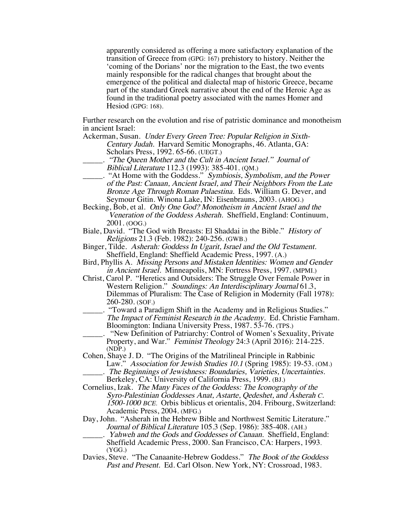apparently considered as offering a more satisfactory explanation of the transition of Greece from (GPG: 167) prehistory to history. Neither the 'coming of the Dorians' nor the migration to the East, the two events mainly responsible for the radical changes that brought about the emergence of the political and dialectal map of historic Greece, became part of the standard Greek narrative about the end of the Heroic Age as found in the traditional poetry associated with the names Homer and Hesiod (GPG: 168).

Further research on the evolution and rise of patristic dominance and monotheism in ancient Israel:

- Ackerman, Susan. Under Every Green Tree: Popular Religion in Sixth-Century Judah. Harvard Semitic Monographs, 46. Atlanta, GA: Scholars Press, 1992. 65-66. (UEGT.)
	- \_\_\_\_\_. "The Queen Mother and the Cult in Ancient Israel." Journal of Biblical Literature 112.3 (1993): 385-401. (QM.)
- \_\_\_\_\_. "At Home with the Goddess." Symbiosis, Symbolism, and the Power of the Past: Canaan, Ancient Israel, and Their Neighbors From the Late Bronze Age Through Roman Palaestina. Eds. William G. Dever, and Seymour Gitin. Winona Lake, IN: Eisenbrauns, 2003. (AHOG.)
- Becking, Bob, et al. Only One God? Monotheism in Ancient Israel and the Veneration of the Goddess Asherah. Sheffield, England: Continuum, 2001. (OOG.)
- Biale, David. "The God with Breasts: El Shaddai in the Bible." History of Religions 21.3 (Feb. 1982): 240-256. (GWB.)
- Binger, Tilde. Asherah: Goddess In Ugarit, Israel and the Old Testament. Sheffield, England: Sheffield Academic Press, 1997. (A.)
- Bird, Phyllis A. Missing Persons and Mistaken Identities: Women and Gender in Ancient Israel. Minneapolis, MN: Fortress Press, 1997. (MPMI.)
- Christ, Carol P. "Heretics and Outsiders: The Struggle Over Female Power in Western Religion." Soundings: An Interdisciplinary Journal 61.3, Dilemmas of Pluralism: The Case of Religion in Modernity (Fall 1978): 260-280. (SOF.)
	- \_\_\_\_\_. "Toward a Paradigm Shift in the Academy and in Religious Studies." The Impact of Feminist Research in the Academy. Ed. Christie Farnham. Bloomington: Indiana University Press, 1987. 53-76. (TPS.)
	- \_\_\_\_\_. "New Definition of Patriarchy: Control of Women's Sexuality, Private Property, and War." Feminist Theology 24:3 (April 2016): 214-225. (NDP.)
- Cohen, Shaye J. D. "The Origins of the Matrilineal Principle in Rabbinic Law." Association for Jewish Studies 10.1 (Spring 1985): 19-53. (OM.) \_\_\_\_\_. The Beginnings of Jewishness: Boundaries, Varieties, Uncertainties.
- Berkeley, CA: University of California Press, 1999. (BJ.) Cornelius, Izak. The Many Faces of the Goddess: The Iconography of the Syro-Palestinian Goddesses Anat, Astarte, Qedeshet, and Asherah C. 1500-1000 BCE. Orbis biblicus et orientalis, 204. Fribourg, Switzerland: Academic Press, 2004. (MFG.)
- Day, John. "Asherah in the Hebrew Bible and Northwest Semitic Literature." Journal of Biblical Literature 105.3 (Sep. 1986): 385-408. (AH.)
- . Yahweh and the Gods and Goddesses of Canaan. Sheffield, England: Sheffield Academic Press, 2000. San Francisco, CA: Harpers, 1993. (YGG.)
- Davies, Steve. "The Canaanite-Hebrew Goddess." The Book of the Goddess Past and Present. Ed. Carl Olson. New York, NY: Crossroad, 1983.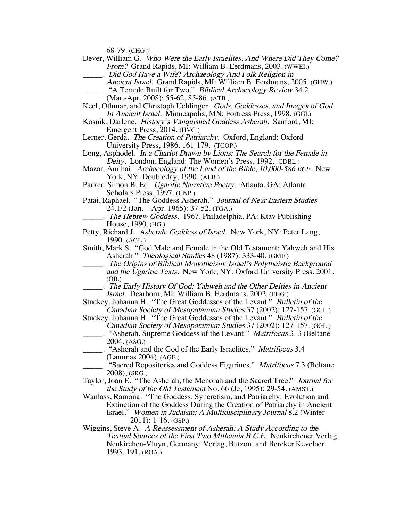68-79. (CHG.)

- Dever, William G. Who Were the Early Israelites, And Where Did They Come? From? Grand Rapids, MI: William B. Eerdmans, 2003. (WWEI.)
	- \_\_\_\_\_. Did God Have a Wife? Archaeology And Folk Religion in
	- Ancient Israel. Grand Rapids, MI: William B. Eerdmans, 2005. (GHW.)
		- ... "A Temple Built for Two." Biblical Archaeology Review 34.2 (Mar.-Apr. 2008): 55-62, 85-86. (ATB.)
- Keel, Othmar, and Christoph Uehlinger. Gods, Goddesses, and Images of God In Ancient Israel. Minneapolis, MN: Fortress Press, 1998. (GGI.)
- Kosnik, Darlene. History's Vanquished Goddess Asherah. Sanford, MI: Emergent Press, 2014. (HVG.)
- Lerner, Gerda. The Creation of Patriarchy. Oxford, England: Oxford University Press, 1986. 161-179. (TCOP.)
- Long, Asphodel. In a Chariot Drawn by Lions: The Search for the Female in Deity. London, England: The Women's Press, 1992. (CDBL.)
- Mazar, Amihai. Archaeology of the Land of the Bible, 10,000-586 BCE. New York, NY: Doubleday, 1990. (ALB.)
- Parker, Simon B. Ed. Ugaritic Narrative Poetry. Atlanta, GA: Atlanta: Scholars Press, 1997. (UNP.)
- Patai, Raphael. "The Goddess Asherah." Journal of Near Eastern Studies 24.1/2 (Jan. – Apr. 1965): 37-52. (TGA.)
	- . The Hebrew Goddess. 1967. Philadelphia, PA: Ktav Publishing House, 1990. (HG.)
- Petty, Richard J. Asherah: Goddess of Israel. New York, NY: Peter Lang, 1990. (AGL.)
- Smith, Mark S. "God Male and Female in the Old Testament: Yahweh and His Asherah." Theological Studies 48 (1987): 333-40. (GMF.)
- \_\_\_\_\_. The Origins of Biblical Monotheism: Israel's Polytheistic Background and the Ugaritic Texts. New York, NY: Oxford University Press. 2001. (OB.)
- \_\_\_\_\_. The Early History Of God: Yahweh and the Other Deities in Ancient Israel. Dearborn, MI: William B. Eerdmans, 2002. (EHG.)
- Stuckey, Johanna H. "The Great Goddesses of the Levant." Bulletin of the Canadian Society of Mesopotamian Studies 37 (2002): 127-157. (GGL.)

Stuckey, Johanna H. "The Great Goddesses of the Levant." Bulletin of the Canadian Society of Mesopotamian Studies 37 (2002): 127-157. (GGL.)

- .. "Asherah. Supreme Goddess of the Levant." Matrifocus 3.3 (Beltane 2004. (ASG.)
- \_\_\_\_\_. "Asherah and the God of the Early Israelites." Matrifocus 3.4 (Lammas 2004). (AGE.)
	- \_\_\_\_\_. "Sacred Repositories and Goddess Figurines." Matrifocus 7.3 (Beltane 2008), (SRG.)
- Taylor, Joan E. "The Asherah, the Menorah and the Sacred Tree." Journal for the Study of the Old Testament No. 66 (Je, 1995): 29-54. (AMST.)
- Wanlass, Ramona. "The Goddess, Syncretism, and Patriarchy: Evolution and Extinction of the Goddess During the Creation of Patriarchy in Ancient Israel." Women in Judaism: A Multidisciplinary Journal 8.2 (Winter 2011): 1-16. (GSP.)
- Wiggins, Steve A. A Reassessment of Asherah: A Study According to the Textual Sources of the First Two Millennia B.C.E. Neukirchener Verlag Neukirchen-Vluyn, Germany: Verlag, Butzon, and Bercker Kevelaer, 1993. 191. (ROA.)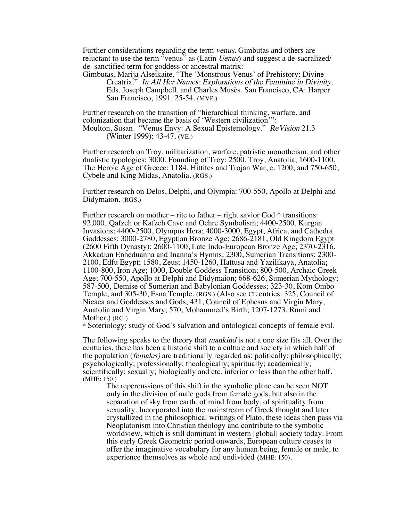Further considerations regarding the term venus. Gimbutas and others are reluctant to use the term "venus" as (Latin *Uenus*) and suggest a de-sacralized/ de–sanctified term for goddess or ancestral matrix:

Gimbutas, Marija Alseikaite. "The 'Monstrous Venus' of Prehistory: Divine Creatrix." In All Her Names: Explorations of the Feminine in Divinity. Eds. Joseph Campbell, and Charles Musès. San Francisco, CA: Harper San Francisco, 1991. 25-54. (MVP.)

Further research on the transition of "hierarchical thinking, warfare, and colonization that became the basis of 'Western civilization'": Moulton, Susan. "Venus Envy: A Sexual Epistemology." ReVision 21.3 (Winter 1999): 43-47. (VE.)

Further research on Troy, militarization, warfare, patristic monotheism, and other dualistic typologies: 3000, Founding of Troy; 2500, Troy, Anatolia; 1600-1100, The Heroic Age of Greece; 1184, Hittites and Trojan War, c. 1200; and 750-650, Cybele and King Midas, Anatolia. (RGS.)

Further research on Delos, Delphi, and Olympia: 700-550, Apollo at Delphi and Didymaion. (RGS.)

Further research on mother – rite to father – right savior God  $*$  transitions: 92,000, Qafzeh or Kafzeh Cave and Ochre Symbolism; 4400-2500, Kurgan Invasions; 4400-2500, Olympus Hera; 4000-3000, Egypt, Africa, and Cathedra Goddesses; 3000-2780, Egyptian Bronze Age; 2686-2181, Old Kingdom Egypt (2600 Fifth Dynasty); 2600-1100, Late Indo-European Bronze Age; 2370-2316, Akkadian Enheduanna and Inanna's Hymns; 2300, Sumerian Transitions; 2300- 2100, Edfu Egypt; 1580, Zeus; 1450-1260, Hattusa and Yazilikaya, Anatolia; 1100-800, Iron Age; 1000, Double Goddess Transition; 800-500, Archaic Greek Age; 700-550, Apollo at Delphi and Didymaion; 668-626, Sumerian Mythology; 587-500, Demise of Sumerian and Babylonian Goddesses; 323-30, Kom Ombo Temple; and 305-30, Esna Temple. (RGS.) (Also see CE entries: 325, Council of Nicaea and Goddesses and Gods; 431, Council of Ephesus and Virgin Mary, Anatolia and Virgin Mary; 570, Mohammed's Birth; 1207-1273, Rumi and Mother.) (RG.)

\* Soteriology: study of God's salvation and ontological concepts of female evil.

The following speaks to the theory that mankind is not a one size fits all. Over the centuries, there has been a historic shift to a culture and society in which half of the population (females) are traditionally regarded as: politically; philosophically; psychologically; professionally; theologically; spiritually; academically; scientifically; sexually; biologically and etc. inferior or less than the other half. (MHE: 150.)

The repercussions of this shift in the symbolic plane can be seen NOT only in the division of male gods from female gods, but also in the separation of sky from earth, of mind from body, of spirituality from sexuality. Incorporated into the mainstream of Greek thought and later crystallized in the philosophical writings of Plato, these ideas then pass via Neoplatonism into Christian theology and contribute to the symbolic worldview, which is still dominant in western [global] society today. From this early Greek Geometric period onwards, European culture ceases to offer the imaginative vocabulary for any human being, female or male, to experience themselves as whole and undivided (MHE: 150).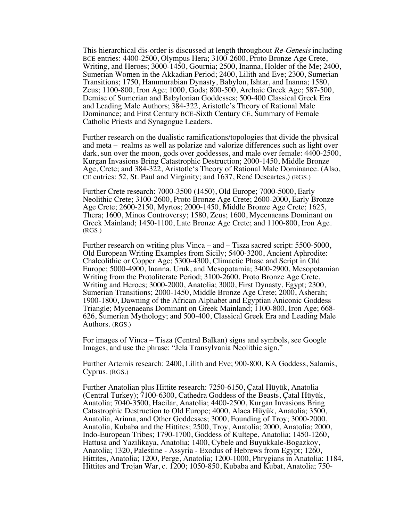This hierarchical dis-order is discussed at length throughout Re-Genesis including BCE entries: 4400-2500, Olympus Hera; 3100-2600, Proto Bronze Age Crete, Writing, and Heroes; 3000-1450, Gournia; 2500, Inanna, Holder of the Me; 2400, Sumerian Women in the Akkadian Period; 2400, Lilith and Eve; 2300, Sumerian Transitions; 1750, Hammurabian Dynasty, Babylon, Ishtar, and Inanna; 1580, Zeus; 1100-800, Iron Age; 1000, Gods; 800-500, Archaic Greek Age; 587-500, Demise of Sumerian and Babylonian Goddesses; 500-400 Classical Greek Era and Leading Male Authors; 384-322, Aristotle's Theory of Rational Male Dominance; and First Century BCE-Sixth Century CE, Summary of Female Catholic Priests and Synagogue Leaders.

Further research on the dualistic ramifications/topologies that divide the physical and meta – realms as well as polarize and valorize differences such as light over dark, sun over the moon, gods over goddesses, and male over female: 4400-2500, Kurgan Invasions Bring Catastrophic Destruction; 2000-1450, Middle Bronze Age, Crete; and 384-322, Aristotle's Theory of Rational Male Dominance. (Also, CE entries: 52, St. Paul and Virginity; and 1637, René Descartes.) (RGS.)

Further Crete research: 7000-3500 (1450), Old Europe; 7000-5000, Early Neolithic Crete; 3100-2600, Proto Bronze Age Crete; 2600-2000, Early Bronze Age Crete; 2600-2150, Myrtos; 2000-1450, Middle Bronze Age Crete; 1625, Thera; 1600, Minos Controversy; 1580, Zeus; 1600, Mycenaeans Dominant on Greek Mainland; 1450-1100, Late Bronze Age Crete; and 1100-800, Iron Age. (RGS.)

Further research on writing plus Vinca – and – Tisza sacred script: 5500-5000, Old European Writing Examples from Sicily; 5400-3200, Ancient Aphrodite: Chalcolithic or Copper Age; 5300-4300, Climactic Phase and Script in Old Europe; 5000-4900, Inanna, Uruk, and Mesopotamia; 3400-2900, Mesopotamian Writing from the Protoliterate Period; 3100-2600, Proto Bronze Age Crete, Writing and Heroes; 3000-2000, Anatolia; 3000, First Dynasty, Egypt; 2300, Sumerian Transitions; 2000-1450, Middle Bronze Age Crete; 2000, Asherah; 1900-1800, Dawning of the African Alphabet and Egyptian Aniconic Goddess Triangle; Mycenaeans Dominant on Greek Mainland; 1100-800, Iron Age; 668- 626, Sumerian Mythology; and 500-400, Classical Greek Era and Leading Male Authors. (RGS.)

For images of Vinca – Tisza (Central Balkan) signs and symbols, see Google Images, and use the phrase: "Jela Transylvania Neolithic sign."

Further Artemis research: 2400, Lilith and Eve; 900-800, KA Goddess, Salamis, Cyprus. (RGS.)

Further Anatolian plus Hittite research: 7250-6150, Çatal Hüyük, Anatolia (Central Turkey); 7100-6300, Cathedra Goddess of the Beasts, Çatal Hüyük, Anatolia; 7040-3500, Hacilar, Anatolia; 4400-2500, Kurgan Invasions Bring Catastrophic Destruction to Old Europe; 4000, Alaca Hüyük, Anatolia; 3500, Anatolia, Arinna, and Other Goddesses; 3000, Founding of Troy; 3000-2000, Anatolia, Kubaba and the Hittites; 2500, Troy, Anatolia; 2000, Anatolia; 2000, Indo-European Tribes; 1790-1700, Goddess of Kultepe, Anatolia; 1450-1260, Anatolia; 1320, Palestine - Assyria - Exodus of Hebrews from Egypt; 1260, Hittites, Anatolia; 1200, Perge, Anatolia; 1200-1000, Phrygians in Anatolia: 1184, Hittites and Trojan War, c. 1200; 1050-850, Kubaba and Kubat, Anatolia; 750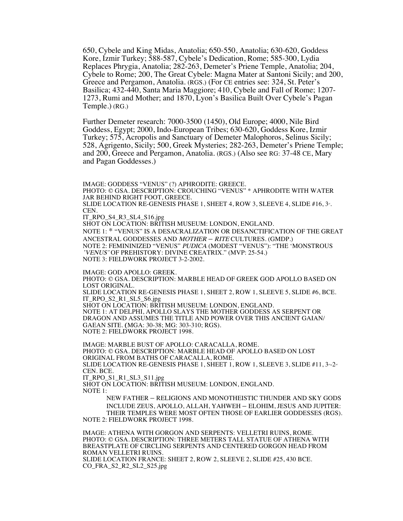650, Cybele and King Midas, Anatolia; 650-550, Anatolia; 630-620, Goddess Kore, Izmir Turkey; 588-587, Cybele's Dedication, Rome; 585-300, Lydia Replaces Phrygia, Anatolia; 282-263, Demeter's Priene Temple, Anatolia; 204, Cybele to Rome; 200, The Great Cybele: Magna Mater at Santoni Sicily; and 200, Greece and Pergamon, Anatolia. (RGS.) (For CE entries see: 324, St. Peter's Basilica; 432-440, Santa Maria Maggiore; 410, Cybele and Fall of Rome; 1207- 1273, Rumi and Mother; and 1870, Lyon's Basilica Built Over Cybele's Pagan Temple.) (RG.)

Further Demeter research: 7000-3500 (1450), Old Europe; 4000, Nile Bird Goddess, Egypt; 2000, Indo-European Tribes; 630-620, Goddess Kore, Izmir Turkey; 575, Acropolis and Sanctuary of Demeter Malophoros, Selinus Sicily; 528, Agrigento, Sicily; 500, Greek Mysteries; 282-263, Demeter's Priene Temple; and 200, Greece and Pergamon, Anatolia. (RGS.) (Also see RG: 37-48 CE, Mary and Pagan Goddesses.)

IMAGE: GODDESS "VENUS" (?) APHRODITE: GREECE. PHOTO: © GSA. DESCRIPTION: CROUCHING "VENUS" \* APHRODITE WITH WATER JAR BEHIND RIGHT FOOT, GREECE. SLIDE LOCATION RE-GENESIS PHASE 1, SHEET 4, ROW 3, SLEEVE 4, SLIDE #16, 3<sup>\*</sup>. CEN. IT\_RPO\_S4\_R3\_SL4\_S16.jpg SHOT ON LOCATION: BRITISH MUSEUM: LONDON, ENGLAND. NOTE 1: \* "VENUS" IS A DESACRALIZATION OR DESANCTIFICATION OF THE GREAT ANCESTRAL GODDESSES AND MOTHER – RITE CULTURES. (GMDP.) NOTE 2: FEMININIZED "VENUS" PUDICA (MODEST "VENUS"): "THE 'MONSTROUS 'VENUS' OF PREHISTORY: DIVINE CREATRIX." (MVP: 25-54.) NOTE 3: FIELDWORK PROJECT 3-2-2002.

IMAGE: GOD APOLLO: GREEK.

PHOTO: © GSA. DESCRIPTION: MARBLE HEAD OF GREEK GOD APOLLO BASED ON LOST ORIGINAL.

SLIDE LOCATION RE-GENESIS PHASE 1, SHEET 2, ROW 1, SLEEVE 5, SLIDE #6, BCE. IT\_RPO\_S2\_R1\_SL5\_S6.jpg

SHOT ON LOCATION: BRITISH MUSEUM: LONDON, ENGLAND.

NOTE 1: AT DELPHI, APOLLO SLAYS THE MOTHER GODDESS AS SERPENT OR DRAGON AND ASSUMES THE TITLE AND POWER OVER THIS ANCIENT GAIAN/ GAEAN SITE. (MGA: 30-38; MG: 303-310; RGS). NOTE 2: FIELDWORK PROJECT 1998.

IMAGE: MARBLE BUST OF APOLLO: CARACALLA, ROME. PHOTO: © GSA. DESCRIPTION: MARBLE HEAD OF APOLLO BASED ON LOST ORIGINAL FROM BATHS OF CARACALLA, ROME. SLIDE LOCATION RE-GENESIS PHASE 1, SHEET 1, ROW 1, SLEEVE 3, SLIDE  $#11$ ,  $3-2-$ CEN. BCE. IT\_RPO\_S1\_R1\_SL3\_S11.jpg SHOT ON LOCATION: BRITISH MUSEUM: LONDON, ENGLAND. NOTE 1: NEW FATHER – RELIGIONS AND MONOTHEISTIC THUNDER AND SKY GODS

INCLUDE ZEUS, APOLLO, ALLAH, YAHWEH – ELOHIM, JESUS AND JUPITER: THEIR TEMPLES WERE MOST OFTEN THOSE OF EARLIER GODDESSES (RGS). NOTE 2: FIELDWORK PROJECT 1998.

IMAGE: ATHENA WITH GORGON AND SERPENTS: VELLETRI RUINS, ROME. PHOTO: © GSA. DESCRIPTION: THREE METERS TALL STATUE OF ATHENA WITH BREASTPLATE OF CIRCLING SERPENTS AND CENTERED GORGON HEAD FROM ROMAN VELLETRI RUINS. SLIDE LOCATION FRANCE: SHEET 2, ROW 2, SLEEVE 2, SLIDE #25, 430 BCE.

CO\_FRA\_S2\_R2\_SL2\_S25.jpg